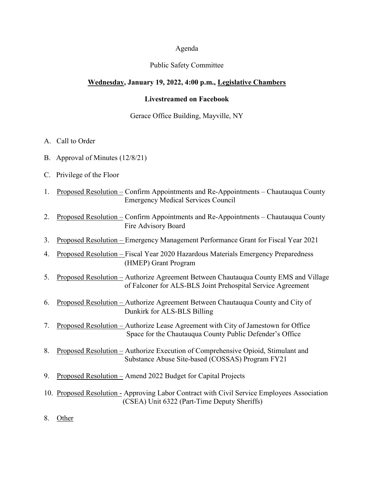#### Agenda

## Public Safety Committee

## **Wednesday, January 19, 2022, 4:00 p.m., Legislative Chambers**

## **Livestreamed on Facebook**

## Gerace Office Building, Mayville, NY

- A. Call to Order
- B. Approval of Minutes (12/8/21)
- C. Privilege of the Floor
- 1. Proposed Resolution Confirm Appointments and Re-Appointments Chautauqua County Emergency Medical Services Council
- 2. Proposed Resolution Confirm Appointments and Re-Appointments Chautauqua County Fire Advisory Board
- 3. Proposed Resolution Emergency Management Performance Grant for Fiscal Year 2021
- 4. Proposed Resolution Fiscal Year 2020 Hazardous Materials Emergency Preparedness (HMEP) Grant Program
- 5. Proposed Resolution Authorize Agreement Between Chautauqua County EMS and Village of Falconer for ALS-BLS Joint Prehospital Service Agreement
- 6. Proposed Resolution Authorize Agreement Between Chautauqua County and City of Dunkirk for ALS-BLS Billing
- 7. Proposed Resolution Authorize Lease Agreement with City of Jamestown for Office Space for the Chautauqua County Public Defender's Office
- 8. Proposed Resolution Authorize Execution of Comprehensive Opioid, Stimulant and Substance Abuse Site-based (COSSAS) Program FY21
- 9. Proposed Resolution Amend 2022 Budget for Capital Projects
- 10. Proposed Resolution Approving Labor Contract with Civil Service Employees Association (CSEA) Unit 6322 (Part-Time Deputy Sheriffs)
- 8. Other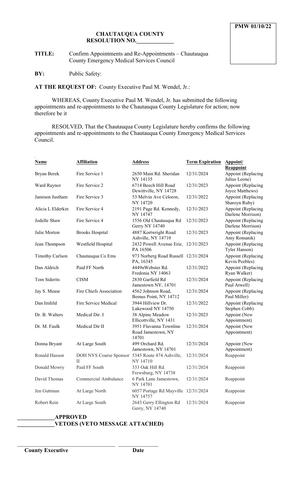**TITLE:** Confirm Appointments and Re-Appointments – Chautauqua County Emergency Medical Services Council

**BY:** Public Safety:

.

**AT THE REQUEST OF:** County Executive Paul M. Wendel, Jr.:

WHEREAS, County Executive Paul M. Wendel, Jr. has submitted the following appointments and re-appointments to the Chautauqua County Legislature for action; now therefore be it

RESOLVED, That the Chautauqua County Legislature hereby confirms the following appointments and re-appointments to the Chautauqua County Emergency Medical Services Council.

| Name                   | <b>Affiliation</b>                                              | <b>Address</b>                                        | <b>Term Expiration</b> | Appoint/<br><b>Reappoint</b>            |
|------------------------|-----------------------------------------------------------------|-------------------------------------------------------|------------------------|-----------------------------------------|
| <b>Bryan Berek</b>     | Fire Service 1                                                  | 2650 Main Rd. Sheridan<br>NY 14135                    | 12/31/2024             | Appoint (Replacing<br>Julius Leone)     |
| Ward Raynor            | Fire Service 2                                                  | 6714 Beech Hill Road<br>Dewittville, NY 14728         | 12/31/2023             | Appoint (Replacing<br>Joyce Matthews)   |
| Jamison Justham        | Fire Service 3                                                  | 53 Melvin Ave Celoron,<br>NY 14720                    | 12/31/2022             | Appoint (Replacing<br>Sharoyn Ruby)     |
| Alicia L Elderkin      | Fire Service 4                                                  | 2191 Page Rd. Kennedy,<br>NY 14747                    | 12/31/2023             | Appoint (Replacing<br>Darlene Morrison) |
| Jodelle Shaw           | Fire Service 4                                                  | 1556 Old Chautauqua Rd<br><b>Gerry NY 14740</b>       | 12/31/2023             | Appoint (Replacing<br>Darlene Morrison) |
| Julie Morton           | <b>Brooks Hospital</b>                                          | 4887 Kortwright Road<br>Ashville, NY 14710            | 12/31/2023             | Appoint (Replacing<br>Amy Romanik)      |
| Jean Thompson          | Westfield Hospital                                              | 2432 Powell Avenue Erie,<br>PA 16506                  | 12/31/2023             | Appoint (Replacing<br>Tyler Hanson)     |
| <b>Timothy Carlson</b> | Chautauqua Co Ems                                               | 973 Norberg Road Russell 12/31/2024<br>PA, 16345      |                        | Appoint (Replacing<br>Kevin Peebles)    |
| Dan Aldrich            | Paid FF North                                                   | 4449nWebster Rd.<br>Fredonia NY 14063                 | 12/31/2022             | Appoint (Replacing<br>Ryan Walker)      |
| Tom Siderits           | <b>CISM</b>                                                     | 2830 Garfield Rd<br>Jamestown NY, 14701               | 12/31/2024             | Appoint (Replacing<br>Paul Atwell)      |
| Jay S. Mease           | Fire Chiefs Association                                         | 4562 Johnson Road,<br>Bemus Point, NY 14712           | 12/31/2024             | Appoint (Replacing<br>Paul Miller)      |
| Dan Imfeld             | Fire Service Medical                                            | 3944 Hillyiew Dr.<br>Lakewood NY 14750                | 12/31/2022             | Appoint (Replacing<br>Stephen Cobb)     |
| Dr. B. Walters         | Medical Dir. I                                                  | 38 Alpine Meadow<br>Ellicottville, NY 1431            | 12/31/2023             | Appoint (New<br>Appointment)            |
| Dr. M. Faulk           | Medical Dir II                                                  | 3951 Fluvanna Townline<br>Road Jamestown, NY<br>14701 | 12/31/2024             | Appoint (New<br>Appointment)            |
| Donna Bryant           | At Large South                                                  | 499 Orchard Rd.<br>Jamestown, NY 14701                | 12/31/2024             | Appoint (New<br>Appointment)            |
| Ronald Hasson          | DOH NYS Course Sponsor 5345 Route 474 Ashville,<br>$\mathbf{H}$ | NY 14710                                              | 12/31/2024             | Reappoint                               |
| Donald Mowry           | Paid FF South                                                   | 333 Oak Hill Rd.<br>Frewsburg, NY 14738               | 12/31/2024             | Reappoint                               |
| David Thomas           | Commercial Ambulance                                            | 6 Park Lane Jamestown,<br>NY 14701                    | 12/31/2024             | Reappoint                               |
| Jen Guttman            | At Large North                                                  | 6057 Portage Rd Mayville 12/31/2024<br>NY 14757       |                        | Reappoint                               |
| Robert Rein            | At Large South                                                  | 2643 Gerry Ellington Rd<br>Gerry, NY 14740            | 12/31/2024             | Reappoint                               |

# **\_\_\_\_\_\_\_\_\_\_\_\_\_APPROVED**

\_\_\_\_\_\_\_\_\_\_\_\_\_\_\_\_\_\_\_\_\_\_\_\_\_\_\_\_\_\_\_\_\_\_ \_\_\_\_\_\_\_\_\_\_\_\_\_\_

# **\_\_\_\_\_\_\_\_\_\_\_\_\_VETOES (VETO MESSAGE ATTACHED)**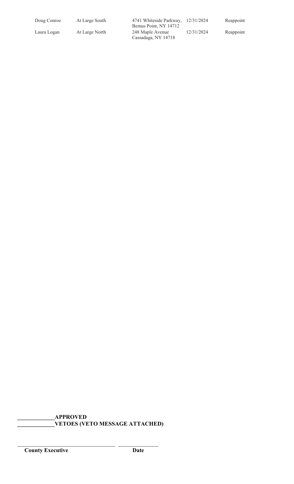| Doug Conroe | At Large South | 4741 Whiteside Parkway, 12/31/2024<br>Bemus Point, NY 14712 |            | Reappoint |
|-------------|----------------|-------------------------------------------------------------|------------|-----------|
| Laura Logan | At Large North | 248 Maple Avenue<br>Cassadaga, NY 14718                     | 12/31/2024 | Reappoint |

**\_\_\_\_\_\_\_\_\_\_\_\_\_APPROVED \_\_\_\_\_\_\_\_\_\_\_\_\_VETOES (VETO MESSAGE ATTACHED)**

\_\_\_\_\_\_\_\_\_\_\_\_\_\_\_\_\_\_\_\_\_\_\_\_\_\_\_\_\_\_\_\_\_\_ \_\_\_\_\_\_\_\_\_\_\_\_\_\_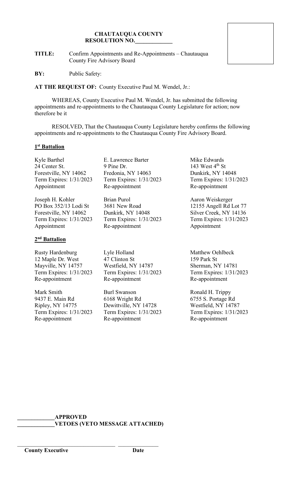**TITLE:** Confirm Appointments and Re-Appointments – Chautauqua County Fire Advisory Board

**BY:** Public Safety:

**AT THE REQUEST OF:** County Executive Paul M. Wendel, Jr.:

WHEREAS, County Executive Paul M. Wendel, Jr. has submitted the following appointments and re-appointments to the Chautauqua County Legislature for action; now therefore be it

RESOLVED, That the Chautauqua County Legislature hereby confirms the following appointments and re-appointments to the Chautauqua County Fire Advisory Board.

#### **1st Battalion**

Kyle Barthel **E.** Lawrence Barter Mike Edwards Forestville, NY 14062

Joseph H. Kohler Brian Purol Brian Aaron Weiskerger

## **2nd Battalion**

Rusty Hardenburg **Lyle Holland** Matthew Oehlbeck 12 Maple Dr. West 47 Clinton St 159 Park St Mayville, NY 14757 Westfield, NY 14787 Sherman, NY 14781 Term Expires: 1/31/2023 Term Expires: 1/31/2023 Term Expires: 1/31/2023 Re-appointment Re-appointment Re-appointment Re-appointment

Mark Smith Burl Swanson Ronald H. Trippy

24 Center St. 9 Pine Dr. 143 West 4<sup>th</sup> St<br>Forestville, NY 14062 Fredonia, NY 14063 Dunkirk, NY 14048 Term Expires: 1/31/2023 Term Expires: 1/31/2023 Term Expires: 1/31/2023 Appointment Re-appointment Re-appointment

PO Box 352/13 Lodi St 3681 New Road 12155 Angell Rd Lot 77<br>Forestville, NY 14062 Dunkirk, NY 14048 Silver Creek, NY 14136 Dunkirk, NY 14048 Silver Creek, NY 14136 Term Expires: 1/31/2023 Term Expires: 1/31/2023 Term Expires: 1/31/2023 Appointment Re-appointment Re-appointment Appointment

9437 E. Main Rd 6168 Wright Rd 6755 S. Portage Rd Ripley, NY 14775 Dewittville, NY 14728 Westfield, NY 14787 Term Expires: 1/31/2023 Term Expires: 1/31/2023 Term Expires: 1/31/2023 Re-appointment Re-appointment Re-appointment Re-appointment

**\_\_\_\_\_\_\_\_\_\_\_\_\_APPROVED \_\_\_\_\_\_\_\_\_\_\_\_\_VETOES (VETO MESSAGE ATTACHED)**

\_\_\_\_\_\_\_\_\_\_\_\_\_\_\_\_\_\_\_\_\_\_\_\_\_\_\_\_\_\_\_\_\_\_ \_\_\_\_\_\_\_\_\_\_\_\_\_\_

**County Executive Date**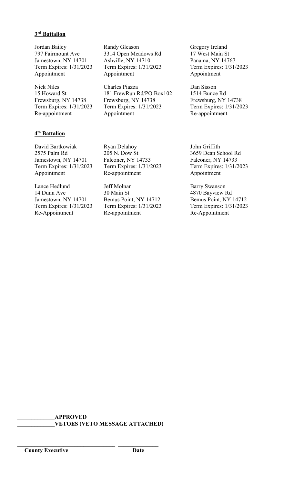## **3rd Battalion**

Jordan Bailey **Randy Gleason** Gregory Ireland Jamestown, NY 14701

# **4th Battalion**

David Bartkowiak Ryan Delahoy John Griffith

Lance Hedlund Jeff Molnar Barry Swanson<br>
14 Dunn Ave 30 Main St 4870 Bavview F 14 Dunn Ave 30 Main St 4870 Bayview Rd<br>
Jamestown, NY 14701 Bemus Point, NY 14712 Bemus Point, NY 14712 Term Expires: 1/31/2023 Term Expires: 1/31/2023 Term Expires: 1/3<br>Re-Appointment Re-appointment Re-Appointment Re-Appointment Re-appointment Re-Appointment

797 Fairmount Ave 3314 Open Meadows Rd 17 West Main St Term Expires: 1/31/2023 Term Expires: 1/31/2023 Term Expires: 1/31/2023 Appointment Appointment Appointment Appointment

Nick Niles Charles Piazza Dan Sisson<br>15 Howard St 181 FrewRun Rd/PO Box102 1514 Bunce 15 Howard St 181 FrewRun Rd/PO Box102 1514 Bunce Rd<br>Frewsburg, NY 14738 Frewsburg, NY 14738 Frewsburg, NY Frewsburg, NY 14738 Frewsburg, NY 14738 Frewsburg, NY 14738 Frewsburg, NY 14738 Frem Expires: 1/31/2023 Term Expires:  $1/31/2023$ <br>Appointment Re-appointment Appointment Appointment Re-appointment

2575 Palm Rd 205 N. Dow St 3659 Dean School Rd Jamestown, NY 14701 Falconer, NY 14733 Falconer, NY 14733 Term Expires: 1/31/2023 Term Expires: 1/31/2023 Term Expires: 1/31/2023 Appointment Re-appointment Re-appointment Appointment

Bemus Point, NY 14712<br>
Term Expires: 1/31/2023<br>
Term Expires: 1/31/2023

**\_\_\_\_\_\_\_\_\_\_\_\_\_APPROVED \_\_\_\_\_\_\_\_\_\_\_\_\_VETOES (VETO MESSAGE ATTACHED)**

\_\_\_\_\_\_\_\_\_\_\_\_\_\_\_\_\_\_\_\_\_\_\_\_\_\_\_\_\_\_\_\_\_\_ \_\_\_\_\_\_\_\_\_\_\_\_\_\_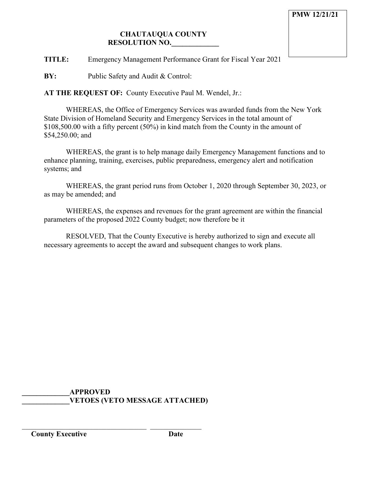**TITLE:** Emergency Management Performance Grant for Fiscal Year 2021

**BY:** Public Safety and Audit & Control:

**AT THE REQUEST OF:** County Executive Paul M. Wendel, Jr.:

WHEREAS, the Office of Emergency Services was awarded funds from the New York State Division of Homeland Security and Emergency Services in the total amount of \$108,500.00 with a fifty percent (50%) in kind match from the County in the amount of \$54,250.00; and

WHEREAS, the grant is to help manage daily Emergency Management functions and to enhance planning, training, exercises, public preparedness, emergency alert and notification systems; and

WHEREAS, the grant period runs from October 1, 2020 through September 30, 2023, or as may be amended; and

WHEREAS, the expenses and revenues for the grant agreement are within the financial parameters of the proposed 2022 County budget; now therefore be it

RESOLVED, That the County Executive is hereby authorized to sign and execute all necessary agreements to accept the award and subsequent changes to work plans.

## **\_\_\_\_\_\_\_\_\_\_\_\_\_APPROVED \_\_\_\_\_\_\_\_\_\_\_\_\_VETOES (VETO MESSAGE ATTACHED)**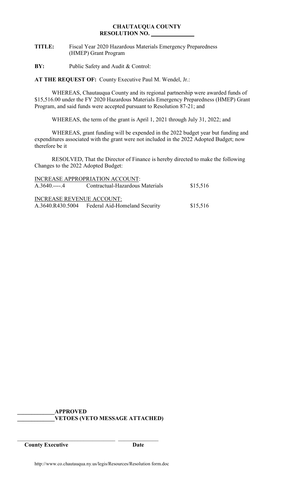## **CHAUTAUQUA COUNTY RESOLUTION NO.**

- **TITLE:** Fiscal Year 2020 Hazardous Materials Emergency Preparedness (HMEP) Grant Program
- **BY:** Public Safety and Audit & Control:

**AT THE REQUEST OF:** County Executive Paul M. Wendel, Jr.:

WHEREAS, Chautauqua County and its regional partnership were awarded funds of \$15,516.00 under the FY 2020 Hazardous Materials Emergency Preparedness (HMEP) Grant Program, and said funds were accepted pursuant to Resolution 87-21; and

WHEREAS, the term of the grant is April 1, 2021 through July 31, 2022; and

WHEREAS, grant funding will be expended in the 2022 budget year but funding and expenditures associated with the grant were not included in the 2022 Adopted Budget; now therefore be it

RESOLVED, That the Director of Finance is hereby directed to make the following Changes to the 2022 Adopted Budget:

|                                  | <b>INCREASE APPROPRIATION ACCOUNT:</b>         |          |
|----------------------------------|------------------------------------------------|----------|
| $A.3640$ 4                       | Contractual-Hazardous Materials                | \$15,516 |
| <b>INCREASE REVENUE ACCOUNT:</b> |                                                |          |
|                                  | A.3640.R430.5004 Federal Aid-Homeland Security | \$15,516 |

**\_\_\_\_\_\_\_\_\_\_\_\_\_APPROVED \_\_\_\_\_\_\_\_\_\_\_\_\_VETOES (VETO MESSAGE ATTACHED)**

**County Executive Date**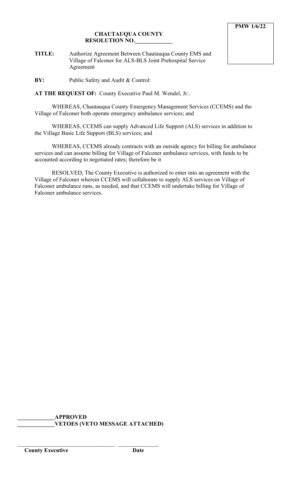**TITLE:** Authorize Agreement Between Chautauqua County EMS and Village of Falconer for ALS-BLS Joint Prehospital Service Agreement

**BY:** Public Safety and Audit & Control:

**AT THE REQUEST OF:** County Executive Paul M. Wendel, Jr.:

WHEREAS, Chautauqua County Emergency Management Services (CCEMS) and the Village of Falconer both operate emergency ambulance services; and

WHEREAS, CCEMS can supply Advanced Life Support (ALS) services in addition to the Village Basic Life Support (BLS) services; and

WHEREAS, CCEMS already contracts with an outside agency for billing for ambulance services and can assume billing for Village of Falconer ambulance services, with funds to be accounted according to negotiated rates; therefore be it

RESOLVED, The County Executive is authorized to enter into an agreement with the Village of Falconer wherein CCEMS will collaborate to supply ALS services on Village of Falconer ambulance runs, as needed, and that CCEMS will undertake billing for Village of Falconer ambulance services.

**\_\_\_\_\_\_\_\_\_\_\_\_\_APPROVED \_\_\_\_\_\_\_\_\_\_\_\_\_VETOES (VETO MESSAGE ATTACHED)**

\_\_\_\_\_\_\_\_\_\_\_\_\_\_\_\_\_\_\_\_\_\_\_\_\_\_\_\_\_\_\_\_\_\_ \_\_\_\_\_\_\_\_\_\_\_\_\_\_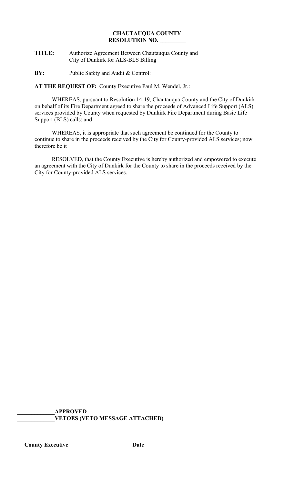## **TITLE:** Authorize Agreement Between Chautauqua County and City of Dunkirk for ALS-BLS Billing

**BY:** Public Safety and Audit & Control:

**AT THE REQUEST OF:** County Executive Paul M. Wendel, Jr.:

WHEREAS, pursuant to Resolution 14-19, Chautauqua County and the City of Dunkirk on behalf of its Fire Department agreed to share the proceeds of Advanced Life Support (ALS) services provided by County when requested by Dunkirk Fire Department during Basic Life Support (BLS) calls; and

WHEREAS, it is appropriate that such agreement be continued for the County to continue to share in the proceeds received by the City for County-provided ALS services; now therefore be it

RESOLVED, that the County Executive is hereby authorized and empowered to execute an agreement with the City of Dunkirk for the County to share in the proceeds received by the City for County-provided ALS services.

**\_\_\_\_\_\_\_\_\_\_\_\_\_APPROVED \_\_\_\_\_\_\_\_\_\_\_\_\_VETOES (VETO MESSAGE ATTACHED)**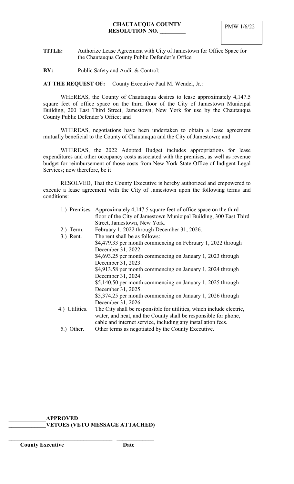- **TITLE:** Authorize Lease Agreement with City of Jamestown for Office Space for the Chautauqua County Public Defender's Office
- **BY:** Public Safety and Audit & Control:

**AT THE REQUEST OF:** County Executive Paul M. Wendel, Jr.:

WHEREAS, the County of Chautauqua desires to lease approximately 4,147.5 square feet of office space on the third floor of the City of Jamestown Municipal Building, 200 East Third Street, Jamestown, New York for use by the Chautauqua County Public Defender's Office; and

WHEREAS, negotiations have been undertaken to obtain a lease agreement mutually beneficial to the County of Chautauqua and the City of Jamestown; and

WHEREAS, the 2022 Adopted Budget includes appropriations for lease expenditures and other occupancy costs associated with the premises, as well as revenue budget for reimbursement of those costs from New York State Office of Indigent Legal Services; now therefore, be it

RESOLVED, That the County Executive is hereby authorized and empowered to execute a lease agreement with the City of Jamestown upon the following terms and conditions:

|                | 1.) Premises. Approximately 4,147.5 square feet of office space on the third |
|----------------|------------------------------------------------------------------------------|
|                | floor of the City of Jamestown Municipal Building, 300 East Third            |
|                | Street, Jamestown, New York.                                                 |
| $2.)$ Term.    | February 1, 2022 through December 31, 2026.                                  |
| 3.) Rent.      | The rent shall be as follows:                                                |
|                | \$4,479.33 per month commencing on February 1, 2022 through                  |
|                | December 31, 2022.                                                           |
|                | \$4,693.25 per month commencing on January 1, 2023 through                   |
|                | December 31, 2023.                                                           |
|                | \$4,913.58 per month commencing on January 1, 2024 through                   |
|                | December 31, 2024.                                                           |
|                | \$5,140.50 per month commencing on January 1, 2025 through                   |
|                | December 31, 2025.                                                           |
|                | \$5,374.25 per month commencing on January 1, 2026 through                   |
|                | December 31, 2026.                                                           |
| 4.) Utilities. | The City shall be responsible for utilities, which include electric,         |
|                | water, and heat, and the County shall be responsible for phone,              |
|                | cable and internet service, including any installation fees.                 |
| 5.) Other.     | Other terms as negotiated by the County Executive.                           |

## **\_\_\_\_\_\_\_\_\_\_\_\_\_APPROVED \_\_\_\_\_\_\_\_\_\_\_\_\_VETOES (VETO MESSAGE ATTACHED)**

**\_\_\_\_\_\_\_\_\_\_\_\_\_\_\_\_\_\_\_\_\_\_\_\_\_\_\_\_\_\_\_\_\_\_\_\_ \_\_\_\_\_\_\_\_\_\_\_\_\_**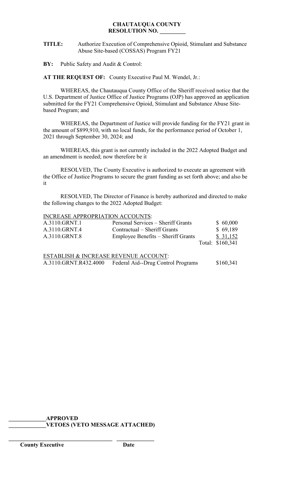**TITLE:** Authorize Execution of Comprehensive Opioid, Stimulant and Substance Abuse Site-based (COSSAS) Program FY21

**BY:** Public Safety and Audit & Control:

**AT THE REQUEST OF:** County Executive Paul M. Wendel, Jr.:

WHEREAS, the Chautauqua County Office of the Sheriff received notice that the U.S. Department of Justice Office of Justice Programs (OJP) has approved an application submitted for the FY21 Comprehensive Opioid, Stimulant and Substance Abuse Sitebased Program; and

WHEREAS, the Department of Justice will provide funding for the FY21 grant in the amount of \$899,910, with no local funds, for the performance period of October 1, 2021 through September 30, 2024; and

WHEREAS, this grant is not currently included in the 2022 Adopted Budget and an amendment is needed; now therefore be it

RESOLVED, The County Executive is authorized to execute an agreement with the Office of Justice Programs to secure the grant funding as set forth above; and also be it

RESOLVED, The Director of Finance is hereby authorized and directed to make the following changes to the 2022 Adopted Budget:

#### INCREASE APPROPRIATION ACCOUNTS:

| A.3110.GRNT.1                         | Personal Services – Sheriff Grants | \$60,000         |
|---------------------------------------|------------------------------------|------------------|
| A.3110.GRNT.4                         | Contractual – Sheriff Grants       | \$69,189         |
| A.3110.GRNT.8                         | Employee Benefits – Sheriff Grants | \$31,152         |
|                                       |                                    | Total: \$160,341 |
|                                       |                                    |                  |
| ESTABLISH & INCREASE REVENUE ACCOUNT: |                                    |                  |
|                                       |                                    | 010021           |

A.3110.GRNT.R432.4000 Federal Aid--Drug Control Programs \$160,341

**\_\_\_\_\_\_\_\_\_\_\_\_\_APPROVED \_\_\_\_\_\_\_\_\_\_\_\_\_VETOES (VETO MESSAGE ATTACHED)**

**\_\_\_\_\_\_\_\_\_\_\_\_\_\_\_\_\_\_\_\_\_\_\_\_\_\_\_\_\_\_\_\_\_\_\_\_ \_\_\_\_\_\_\_\_\_\_\_\_\_**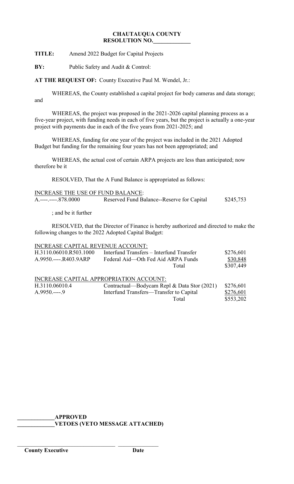**TITLE:** Amend 2022 Budget for Capital Projects

**BY:** Public Safety and Audit & Control:

**AT THE REQUEST OF:** County Executive Paul M. Wendel, Jr.:

WHEREAS, the County established a capital project for body cameras and data storage; and

WHEREAS, the project was proposed in the 2021-2026 capital planning process as a five-year project, with funding needs in each of five years, but the project is actually a one-year project with payments due in each of the five years from 2021-2025; and

WHEREAS, funding for one year of the project was included in the 2021 Adopted Budget but funding for the remaining four years has not been appropriated; and

WHEREAS, the actual cost of certain ARPA projects are less than anticipated; now therefore be it

RESOLVED, That the A Fund Balance is appropriated as follows:

| <b>INCREASE THE USE OF FUND BALANCE:</b> |                                            |           |
|------------------------------------------|--------------------------------------------|-----------|
| $A_{0}$ -----------878.0000              | Reserved Fund Balance--Reserve for Capital | \$245,753 |

; and be it further

RESOLVED, that the Director of Finance is hereby authorized and directed to make the following changes to the 2022 Adopted Capital Budget:

#### INCREASE CAPITAL REVENUE ACCOUNT:

| H.3110.06010.R503.1000 | Interfund Transfers – Interfund Transfer | \$276,601 |
|------------------------|------------------------------------------|-----------|
| A.9950.----.R403.9ARP  | Federal Aid—Oth Fed Aid ARPA Funds       | \$30,848  |
|                        | Total                                    | \$307,449 |
|                        |                                          |           |

## INCREASE CAPITAL APPROPRIATION ACCOUNT:

| H.3110.06010.4 | Contractual—Bodycam Repl & Data Stor (2021) \$276,601 |           |
|----------------|-------------------------------------------------------|-----------|
| $A.9950---9$   | Interfund Transfers—Transfer to Capital               | \$276,601 |
|                | Total                                                 | \$553,202 |

**\_\_\_\_\_\_\_\_\_\_\_\_\_APPROVED**

\_\_\_\_\_\_\_\_\_\_\_\_\_\_\_\_\_\_\_\_\_\_\_\_\_\_\_\_\_\_\_\_\_\_ \_\_\_\_\_\_\_\_\_\_\_\_\_\_

**\_\_\_\_\_\_\_\_\_\_\_\_\_VETOES (VETO MESSAGE ATTACHED)**